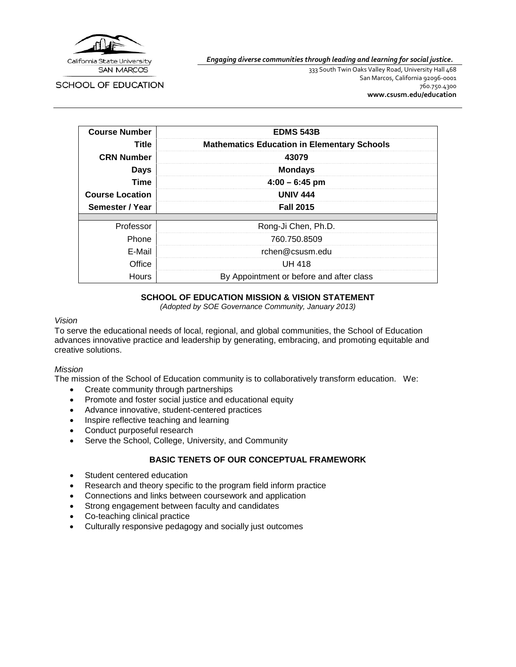

*Engaging diverse communities through leading and learning for social justice.*

**SCHOOL OF EDUCATION** 

333 South Twin Oaks Valley Road, University Hall 468 San Marcos, California 92096-0001 760.750.4300 **[www.csusm.edu/education](http://www.csusm.edu/education)**

| <b>Course Number</b>   | <b>EDMS 543B</b>                                   |
|------------------------|----------------------------------------------------|
| Title                  | <b>Mathematics Education in Elementary Schools</b> |
| <b>CRN Number</b>      | 43079                                              |
| <b>Days</b>            | <b>Mondays</b>                                     |
| <b>Time</b>            | $4:00 - 6:45$ pm                                   |
| <b>Course Location</b> | <b>UNIV 444</b>                                    |
| Semester / Year        | <b>Fall 2015</b>                                   |
|                        |                                                    |
| Professor              | Rong-Ji Chen, Ph.D.                                |
| Phone                  | 760.750.8509                                       |
| E-Mail                 | rchen@csusm.edu                                    |
| Office                 | UH 418                                             |
| <b>Hours</b>           | By Appointment or before and after class           |

## **SCHOOL OF EDUCATION MISSION & VISION STATEMENT**

*(Adopted by SOE Governance Community, January 2013)*

#### *Vision*

To serve the educational needs of local, regional, and global communities, the School of Education advances innovative practice and leadership by generating, embracing, and promoting equitable and creative solutions.

#### *Mission*

The mission of the School of Education community is to collaboratively transform education. We:

- Create community through partnerships
- Promote and foster social justice and educational equity
- Advance innovative, student-centered practices
- Inspire reflective teaching and learning
- Conduct purposeful research
- Serve the School, College, University, and Community

#### **BASIC TENETS OF OUR CONCEPTUAL FRAMEWORK**

- Student centered education
- Research and theory specific to the program field inform practice
- Connections and links between coursework and application
- Strong engagement between faculty and candidates
- Co-teaching clinical practice
- Culturally responsive pedagogy and socially just outcomes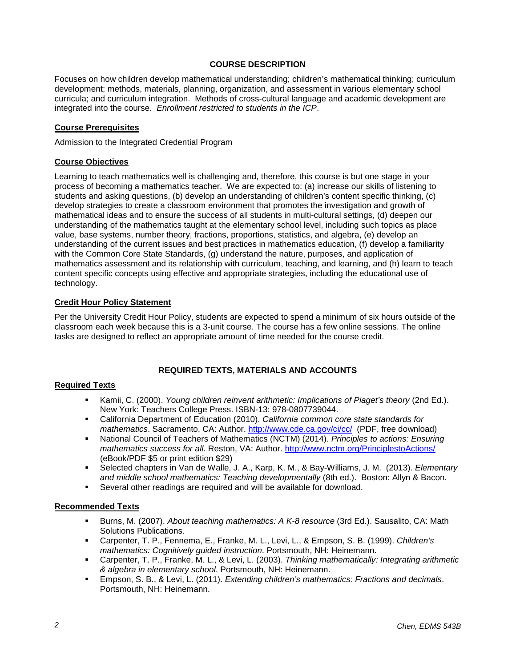## **COURSE DESCRIPTION**

Focuses on how children develop mathematical understanding; children's mathematical thinking; curriculum development; methods, materials, planning, organization, and assessment in various elementary school curricula; and curriculum integration. Methods of cross-cultural language and academic development are integrated into the course. *Enrollment restricted to students in the ICP*.

### **Course Prerequisites**

Admission to the Integrated Credential Program

### **Course Objectives**

Learning to teach mathematics well is challenging and, therefore, this course is but one stage in your process of becoming a mathematics teacher. We are expected to: (a) increase our skills of listening to students and asking questions, (b) develop an understanding of children's content specific thinking, (c) develop strategies to create a classroom environment that promotes the investigation and growth of mathematical ideas and to ensure the success of all students in multi-cultural settings, (d) deepen our understanding of the mathematics taught at the elementary school level, including such topics as place value, base systems, number theory, fractions, proportions, statistics, and algebra, (e) develop an understanding of the current issues and best practices in mathematics education, (f) develop a familiarity with the Common Core State Standards, (g) understand the nature, purposes, and application of mathematics assessment and its relationship with curriculum, teaching, and learning, and (h) learn to teach content specific concepts using effective and appropriate strategies, including the educational use of technology.

### **Credit Hour Policy Statement**

Per the University Credit Hour Policy, students are expected to spend a minimum of six hours outside of the classroom each week because this is a 3-unit course. The course has a few online sessions. The online tasks are designed to reflect an appropriate amount of time needed for the course credit.

## **REQUIRED TEXTS, MATERIALS AND ACCOUNTS**

#### **Required Texts**

- Kamii, C. (2000). *Young children reinvent arithmetic: Implications of Piaget's theory* (2nd Ed.). New York: Teachers College Press. ISBN-13: 978-0807739044.
- California Department of Education (2010). *California common core state standards for mathematics*. Sacramento, CA: Author.<http://www.cde.ca.gov/ci/cc/>(PDF, free download)
- National Council of Teachers of Mathematics (NCTM) (2014). *Principles to actions: Ensuring mathematics success for all*. Reston, VA: Author.<http://www.nctm.org/PrinciplestoActions/> (eBook/PDF \$5 or print edition \$29)
- Selected chapters in Van de Walle, J. A., Karp, K. M., & Bay-Williams, J. M. (2013). *Elementary and middle school mathematics: Teaching developmentally* (8th ed.). Boston: Allyn & Bacon.
- Several other readings are required and will be available for download.

#### **Recommended Texts**

- Burns, M. (2007). *About teaching mathematics: A K-8 resource* (3rd Ed.). Sausalito, CA: Math Solutions Publications.
- Carpenter, T. P., Fennema, E., Franke, M. L., Levi, L., & Empson, S. B. (1999). *Children's mathematics: Cognitively guided instruction*. Portsmouth, NH: Heinemann.
- Carpenter, T. P., Franke, M. L., & Levi, L. (2003). *Thinking mathematically: Integrating arithmetic & algebra in elementary school*. Portsmouth, NH: Heinemann.
- Empson, S. B., & Levi, L. (2011). *Extending children's mathematics: Fractions and decimals*. Portsmouth, NH: Heinemann.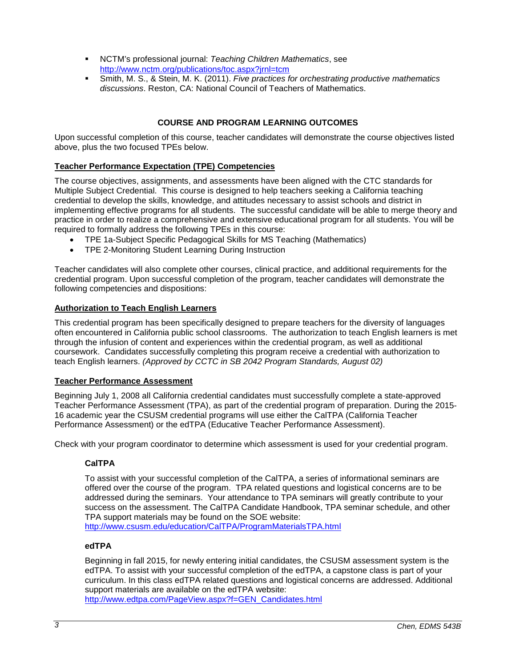- NCTM's professional journal: *Teaching Children Mathematics*, see <http://www.nctm.org/publications/toc.aspx?jrnl=tcm>
- Smith, M. S., & Stein, M. K. (2011). *Five practices for orchestrating productive mathematics discussions*. Reston, CA: National Council of Teachers of Mathematics.

## **COURSE AND PROGRAM LEARNING OUTCOMES**

Upon successful completion of this course, teacher candidates will demonstrate the course objectives listed above, plus the two focused TPEs below.

### **Teacher Performance Expectation (TPE) Competencies**

The course objectives, assignments, and assessments have been aligned with the CTC standards for Multiple Subject Credential. This course is designed to help teachers seeking a California teaching credential to develop the skills, knowledge, and attitudes necessary to assist schools and district in implementing effective programs for all students. The successful candidate will be able to merge theory and practice in order to realize a comprehensive and extensive educational program for all students. You will be required to formally address the following TPEs in this course:

- TPE 1a-Subject Specific Pedagogical Skills for MS Teaching (Mathematics)
- TPE 2-Monitoring Student Learning During Instruction

Teacher candidates will also complete other courses, clinical practice, and additional requirements for the credential program. Upon successful completion of the program, teacher candidates will demonstrate the following competencies and dispositions:

### **Authorization to Teach English Learners**

This credential program has been specifically designed to prepare teachers for the diversity of languages often encountered in California public school classrooms. The authorization to teach English learners is met through the infusion of content and experiences within the credential program, as well as additional coursework. Candidates successfully completing this program receive a credential with authorization to teach English learners. *(Approved by CCTC in SB 2042 Program Standards, August 02)*

#### **Teacher Performance Assessment**

Beginning July 1, 2008 all California credential candidates must successfully complete a state-approved Teacher Performance Assessment (TPA), as part of the credential program of preparation. During the 2015- 16 academic year the CSUSM credential programs will use either the CalTPA (California Teacher Performance Assessment) or the edTPA (Educative Teacher Performance Assessment).

Check with your program coordinator to determine which assessment is used for your credential program.

## **CalTPA**

To assist with your successful completion of the CalTPA, a series of informational seminars are offered over the course of the program. TPA related questions and logistical concerns are to be addressed during the seminars. Your attendance to TPA seminars will greatly contribute to your success on the assessment. The CalTPA Candidate Handbook, TPA seminar schedule, and other TPA support materials may be found on the SOE website: <http://www.csusm.edu/education/CalTPA/ProgramMaterialsTPA.html>

#### **edTPA**

Beginning in fall 2015, for newly entering initial candidates, the CSUSM assessment system is the edTPA. To assist with your successful completion of the edTPA, a capstone class is part of your curriculum. In this class edTPA related questions and logistical concerns are addressed. Additional support materials are available on the edTPA website:

[http://www.edtpa.com/PageView.aspx?f=GEN\\_Candidates.html](http://www.edtpa.com/PageView.aspx?f=GEN_Candidates.html)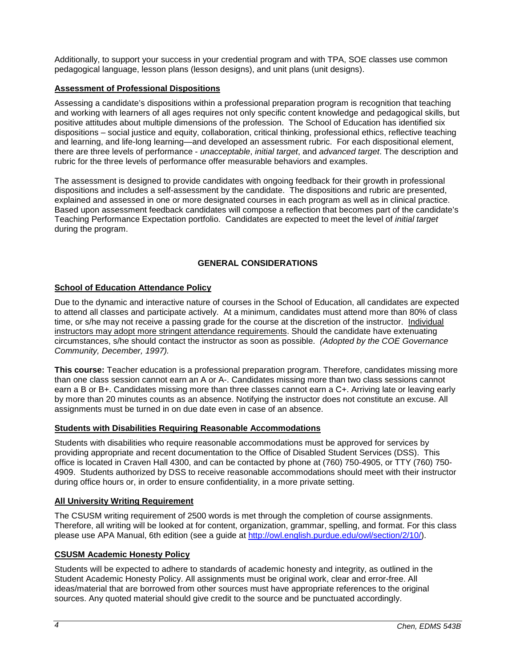Additionally, to support your success in your credential program and with TPA, SOE classes use common pedagogical language, lesson plans (lesson designs), and unit plans (unit designs).

## **Assessment of Professional Dispositions**

Assessing a candidate's dispositions within a professional preparation program is recognition that teaching and working with learners of all ages requires not only specific content knowledge and pedagogical skills, but positive attitudes about multiple dimensions of the profession. The School of Education has identified six dispositions – social justice and equity, collaboration, critical thinking, professional ethics, reflective teaching and learning, and life-long learning—and developed an assessment rubric. For each dispositional element, there are three levels of performance - *unacceptable*, *initial target*, and *advanced target*. The description and rubric for the three levels of performance offer measurable behaviors and examples.

The assessment is designed to provide candidates with ongoing feedback for their growth in professional dispositions and includes a self-assessment by the candidate. The dispositions and rubric are presented, explained and assessed in one or more designated courses in each program as well as in clinical practice. Based upon assessment feedback candidates will compose a reflection that becomes part of the candidate's Teaching Performance Expectation portfolio. Candidates are expected to meet the level of *initial target* during the program.

## **GENERAL CONSIDERATIONS**

### **School of Education Attendance Policy**

Due to the dynamic and interactive nature of courses in the School of Education, all candidates are expected to attend all classes and participate actively. At a minimum, candidates must attend more than 80% of class time, or s/he may not receive a passing grade for the course at the discretion of the instructor. Individual instructors may adopt more stringent attendance requirements. Should the candidate have extenuating circumstances, s/he should contact the instructor as soon as possible. *(Adopted by the COE Governance Community, December, 1997).*

**This course:** Teacher education is a professional preparation program. Therefore, candidates missing more than one class session cannot earn an A or A-. Candidates missing more than two class sessions cannot earn a B or B+. Candidates missing more than three classes cannot earn a C+. Arriving late or leaving early by more than 20 minutes counts as an absence. Notifying the instructor does not constitute an excuse. All assignments must be turned in on due date even in case of an absence.

#### **Students with Disabilities Requiring Reasonable Accommodations**

Students with disabilities who require reasonable accommodations must be approved for services by providing appropriate and recent documentation to the Office of Disabled Student Services (DSS). This office is located in Craven Hall 4300, and can be contacted by phone at (760) 750-4905, or TTY (760) 750- 4909. Students authorized by DSS to receive reasonable accommodations should meet with their instructor during office hours or, in order to ensure confidentiality, in a more private setting.

#### **All University Writing Requirement**

The CSUSM writing requirement of 2500 words is met through the completion of course assignments. Therefore, all writing will be looked at for content, organization, grammar, spelling, and format. For this class please use APA Manual, 6th edition (see a guide at [http://owl.english.purdue.edu/owl/section/2/10/\)](http://owl.english.purdue.edu/owl/section/2/10/).

## **CSUSM Academic Honesty Policy**

Students will be expected to adhere to standards of academic honesty and integrity, as outlined in the Student Academic Honesty Policy. All assignments must be original work, clear and error-free. All ideas/material that are borrowed from other sources must have appropriate references to the original sources. Any quoted material should give credit to the source and be punctuated accordingly.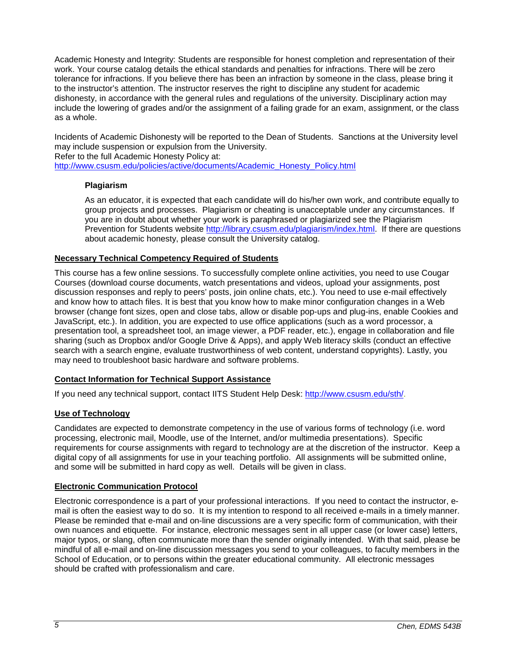Academic Honesty and Integrity: Students are responsible for honest completion and representation of their work. Your course catalog details the ethical standards and penalties for infractions. There will be zero tolerance for infractions. If you believe there has been an infraction by someone in the class, please bring it to the instructor's attention. The instructor reserves the right to discipline any student for academic dishonesty, in accordance with the general rules and regulations of the university. Disciplinary action may include the lowering of grades and/or the assignment of a failing grade for an exam, assignment, or the class as a whole.

Incidents of Academic Dishonesty will be reported to the Dean of Students. Sanctions at the University level may include suspension or expulsion from the University.

Refer to the full Academic Honesty Policy at:

[http://www.csusm.edu/policies/active/documents/Academic\\_Honesty\\_Policy.html](http://www.csusm.edu/policies/active/documents/Academic_Honesty_Policy.html)

## **Plagiarism**

As an educator, it is expected that each candidate will do his/her own work, and contribute equally to group projects and processes. Plagiarism or cheating is unacceptable under any circumstances. If you are in doubt about whether your work is paraphrased or plagiarized see the Plagiarism Prevention for Students website [http://library.csusm.edu/plagiarism/index.html.](http://library.csusm.edu/plagiarism/index.html) If there are questions about academic honesty, please consult the University catalog.

### **Necessary Technical Competency Required of Students**

This course has a few online sessions. To successfully complete online activities, you need to use Cougar Courses (download course documents, watch presentations and videos, upload your assignments, post discussion responses and reply to peers' posts, join online chats, etc.). You need to use e-mail effectively and know how to attach files. It is best that you know how to make minor configuration changes in a Web browser (change font sizes, open and close tabs, allow or disable pop-ups and plug-ins, enable Cookies and JavaScript, etc.). In addition, you are expected to use office applications (such as a word processor, a presentation tool, a spreadsheet tool, an image viewer, a PDF reader, etc.), engage in collaboration and file sharing (such as Dropbox and/or Google Drive & Apps), and apply Web literacy skills (conduct an effective search with a search engine, evaluate trustworthiness of web content, understand copyrights). Lastly, you may need to troubleshoot basic hardware and software problems.

## **Contact Information for Technical Support Assistance**

If you need any technical support, contact IITS Student Help Desk: [http://www.csusm.edu/sth/.](http://www.csusm.edu/sth/)

## **Use of Technology**

Candidates are expected to demonstrate competency in the use of various forms of technology (i.e. word processing, electronic mail, Moodle, use of the Internet, and/or multimedia presentations). Specific requirements for course assignments with regard to technology are at the discretion of the instructor. Keep a digital copy of all assignments for use in your teaching portfolio. All assignments will be submitted online, and some will be submitted in hard copy as well. Details will be given in class.

## **Electronic Communication Protocol**

Electronic correspondence is a part of your professional interactions. If you need to contact the instructor, email is often the easiest way to do so. It is my intention to respond to all received e-mails in a timely manner. Please be reminded that e-mail and on-line discussions are a very specific form of communication, with their own nuances and etiquette. For instance, electronic messages sent in all upper case (or lower case) letters, major typos, or slang, often communicate more than the sender originally intended. With that said, please be mindful of all e-mail and on-line discussion messages you send to your colleagues, to faculty members in the School of Education, or to persons within the greater educational community. All electronic messages should be crafted with professionalism and care.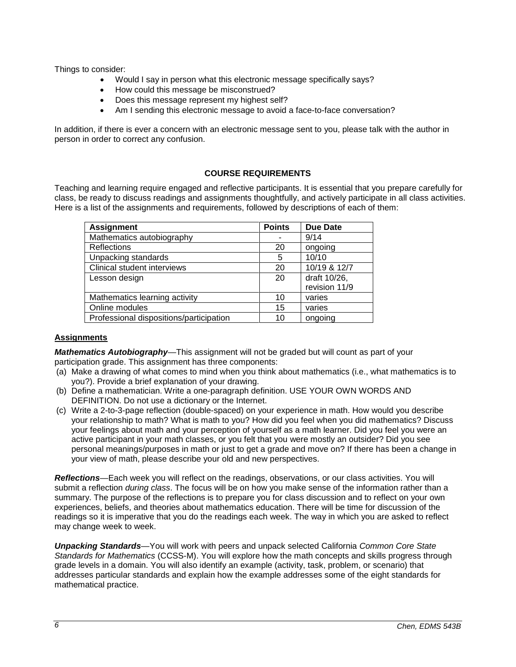Things to consider:

- Would I say in person what this electronic message specifically says?
- How could this message be misconstrued?
- Does this message represent my highest self?
- Am I sending this electronic message to avoid a face-to-face conversation?

In addition, if there is ever a concern with an electronic message sent to you, please talk with the author in person in order to correct any confusion.

## **COURSE REQUIREMENTS**

Teaching and learning require engaged and reflective participants. It is essential that you prepare carefully for class, be ready to discuss readings and assignments thoughtfully, and actively participate in all class activities. Here is a list of the assignments and requirements, followed by descriptions of each of them:

| <b>Assignment</b>                       | <b>Points</b> | <b>Due Date</b> |
|-----------------------------------------|---------------|-----------------|
| Mathematics autobiography               |               | 9/14            |
| <b>Reflections</b>                      | 20            | ongoing         |
| Unpacking standards                     | 5             | 10/10           |
| Clinical student interviews             | 20            | 10/19 & 12/7    |
| Lesson design                           | 20            | draft 10/26,    |
|                                         |               | revision 11/9   |
| Mathematics learning activity           | 10            | varies          |
| Online modules                          | 15            | varies          |
| Professional dispositions/participation | 10            | ongoing         |

### **Assignments**

*Mathematics Autobiography*—This assignment will not be graded but will count as part of your participation grade. This assignment has three components:

- (a) Make a drawing of what comes to mind when you think about mathematics (i.e., what mathematics is to you?). Provide a brief explanation of your drawing.
- (b) Define a mathematician. Write a one-paragraph definition. USE YOUR OWN WORDS AND DEFINITION. Do not use a dictionary or the Internet.
- (c) Write a 2-to-3-page reflection (double-spaced) on your experience in math. How would you describe your relationship to math? What is math to you? How did you feel when you did mathematics? Discuss your feelings about math and your perception of yourself as a math learner. Did you feel you were an active participant in your math classes, or you felt that you were mostly an outsider? Did you see personal meanings/purposes in math or just to get a grade and move on? If there has been a change in your view of math, please describe your old and new perspectives.

*Reflections*—Each week you will reflect on the readings, observations, or our class activities. You will submit a reflection *during class*. The focus will be on how you make sense of the information rather than a summary. The purpose of the reflections is to prepare you for class discussion and to reflect on your own experiences, beliefs, and theories about mathematics education. There will be time for discussion of the readings so it is imperative that you do the readings each week. The way in which you are asked to reflect may change week to week.

*Unpacking Standards*—You will work with peers and unpack selected California *Common Core State Standards for Mathematics* (CCSS-M). You will explore how the math concepts and skills progress through grade levels in a domain. You will also identify an example (activity, task, problem, or scenario) that addresses particular standards and explain how the example addresses some of the eight standards for mathematical practice.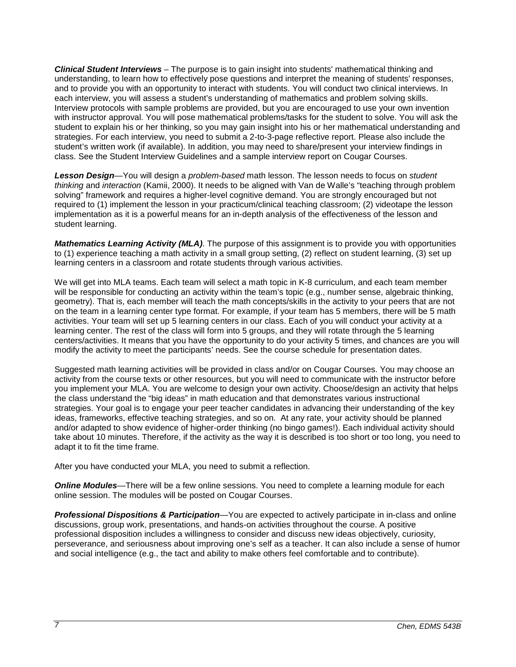*Clinical Student Interviews* – The purpose is to gain insight into students' mathematical thinking and understanding, to learn how to effectively pose questions and interpret the meaning of students' responses, and to provide you with an opportunity to interact with students. You will conduct two clinical interviews. In each interview, you will assess a student's understanding of mathematics and problem solving skills. Interview protocols with sample problems are provided, but you are encouraged to use your own invention with instructor approval. You will pose mathematical problems/tasks for the student to solve. You will ask the student to explain his or her thinking, so you may gain insight into his or her mathematical understanding and strategies. For each interview, you need to submit a 2-to-3-page reflective report. Please also include the student's written work (if available). In addition, you may need to share/present your interview findings in class. See the Student Interview Guidelines and a sample interview report on Cougar Courses.

*Lesson Design*—You will design a *problem-based* math lesson. The lesson needs to focus on *student thinking* and *interaction* (Kamii, 2000). It needs to be aligned with Van de Walle's "teaching through problem solving" framework and requires a higher-level cognitive demand. You are strongly encouraged but not required to (1) implement the lesson in your practicum/clinical teaching classroom; (2) videotape the lesson implementation as it is a powerful means for an in-depth analysis of the effectiveness of the lesson and student learning.

*Mathematics Learning Activity (MLA)*. The purpose of this assignment is to provide you with opportunities to (1) experience teaching a math activity in a small group setting, (2) reflect on student learning, (3) set up learning centers in a classroom and rotate students through various activities.

We will get into MLA teams. Each team will select a math topic in K-8 curriculum, and each team member will be responsible for conducting an activity within the team's topic (e.g., number sense, algebraic thinking, geometry). That is, each member will teach the math concepts/skills in the activity to your peers that are not on the team in a learning center type format. For example, if your team has 5 members, there will be 5 math activities. Your team will set up 5 learning centers in our class. Each of you will conduct your activity at a learning center. The rest of the class will form into 5 groups, and they will rotate through the 5 learning centers/activities. It means that you have the opportunity to do your activity 5 times, and chances are you will modify the activity to meet the participants' needs. See the course schedule for presentation dates.

Suggested math learning activities will be provided in class and/or on Cougar Courses. You may choose an activity from the course texts or other resources, but you will need to communicate with the instructor before you implement your MLA. You are welcome to design your own activity. Choose/design an activity that helps the class understand the "big ideas" in math education and that demonstrates various instructional strategies. Your goal is to engage your peer teacher candidates in advancing their understanding of the key ideas, frameworks, effective teaching strategies, and so on. At any rate, your activity should be planned and/or adapted to show evidence of higher-order thinking (no bingo games!). Each individual activity should take about 10 minutes. Therefore, if the activity as the way it is described is too short or too long, you need to adapt it to fit the time frame.

After you have conducted your MLA, you need to submit a reflection.

**Online Modules**—There will be a few online sessions. You need to complete a learning module for each online session. The modules will be posted on Cougar Courses.

*Professional Dispositions & Participation*—You are expected to actively participate in in-class and online discussions, group work, presentations, and hands-on activities throughout the course. A positive professional disposition includes a willingness to consider and discuss new ideas objectively, curiosity, perseverance, and seriousness about improving one's self as a teacher. It can also include a sense of humor and social intelligence (e.g., the tact and ability to make others feel comfortable and to contribute).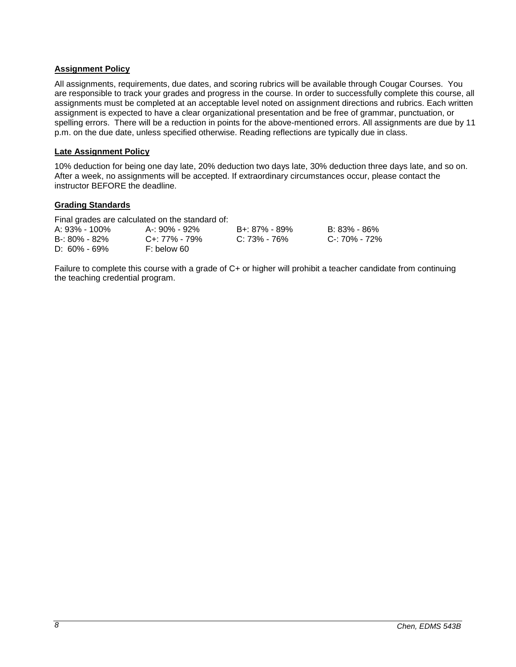## **Assignment Policy**

All assignments, requirements, due dates, and scoring rubrics will be available through Cougar Courses. You are responsible to track your grades and progress in the course. In order to successfully complete this course, all assignments must be completed at an acceptable level noted on assignment directions and rubrics. Each written assignment is expected to have a clear organizational presentation and be free of grammar, punctuation, or spelling errors. There will be a reduction in points for the above-mentioned errors. All assignments are due by 11 p.m. on the due date, unless specified otherwise. Reading reflections are typically due in class.

### **Late Assignment Policy**

10% deduction for being one day late, 20% deduction two days late, 30% deduction three days late, and so on. After a week, no assignments will be accepted. If extraordinary circumstances occur, please contact the instructor BEFORE the deadline.

### **Grading Standards**

Final grades are calculated on the standard of:

| A: 93% - 100%     | A-: 90% - 92% | B+: 87% - 89% | B: 83% - 86%  |
|-------------------|---------------|---------------|---------------|
| $B - 80\% - 82\%$ | C+: 77% - 79% | C: 73% - 76%  | C-: 70% - 72% |
| $D: 60\% - 69\%$  | F: below 60   |               |               |

Failure to complete this course with a grade of C+ or higher will prohibit a teacher candidate from continuing the teaching credential program.